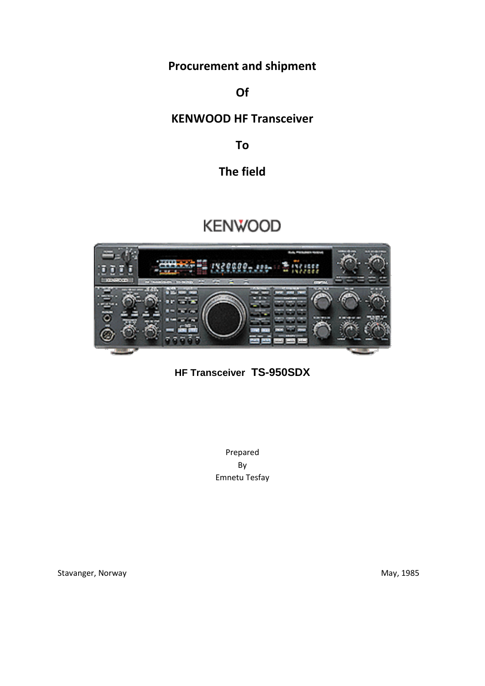**Procurement and shipment**

**Of**

## **KENWOOD HF Transceiver**

**To**

## **The field**

# **KENWOOD**



**HF Transceiver TS-950SDX**

Prepared By Emnetu Tesfay

Stavanger, Norway **May, 1985** Stavanger, Norway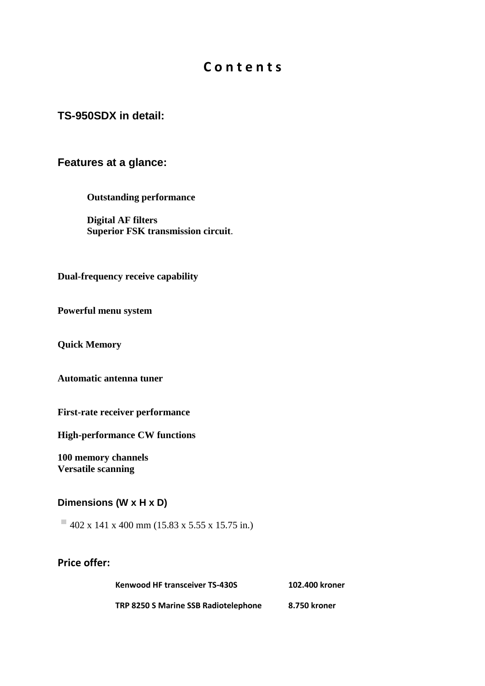## **C o n t e n t s**

#### **TS-950SDX in detail:**

#### **Features at a glance:**

**Outstanding performance**

**Digital AF filters Superior FSK transmission circuit**.

**Dual-frequency receive capability** 

**Powerful menu system** 

**Quick Memory** 

**Automatic antenna tuner**

**First-rate receiver performance** 

**High-performance CW functions** 

**100 memory channels Versatile scanning** 

#### **Dimensions (W x H x D)**

 $\blacksquare$  402 x 141 x 400 mm (15.83 x 5.55 x 15.75 in.)

**Price offer:**

| <b>Kenwood HF transceiver TS-430S</b> | 102.400 kroner |  |  |
|---------------------------------------|----------------|--|--|
| TRP 8250 S Marine SSB Radiotelephone  | 8.750 kroner   |  |  |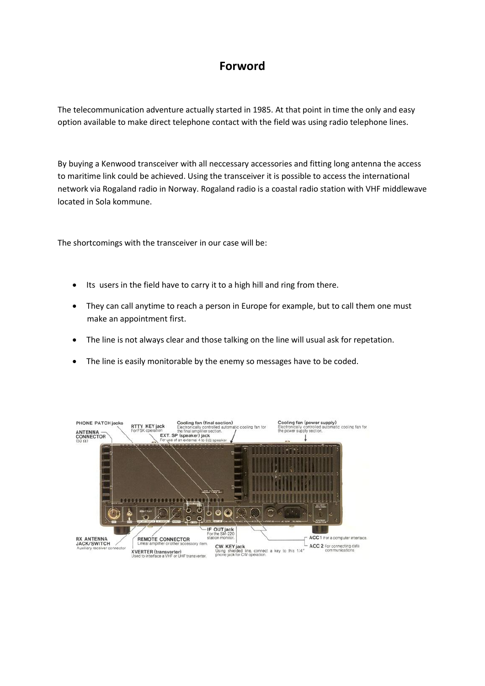## **Forword**

The telecommunication adventure actually started in 1985. At that point in time the only and easy option available to make direct telephone contact with the field was using radio telephone lines.

By buying a Kenwood transceiver with all neccessary accessories and fitting long antenna the access to maritime link could be achieved. Using the transceiver it is possible to access the international network via Rogaland radio in Norway. Rogaland radio is a coastal radio station with VHF middlewave located in Sola kommune.

The shortcomings with the transceiver in our case will be:

- Its users in the field have to carry it to a high hill and ring from there.
- They can call anytime to reach a person in Europe for example, but to call them one must make an appointment first.
- The line is not always clear and those talking on the line will usual ask for repetation.
- The line is easily monitorable by the enemy so messages have to be coded.

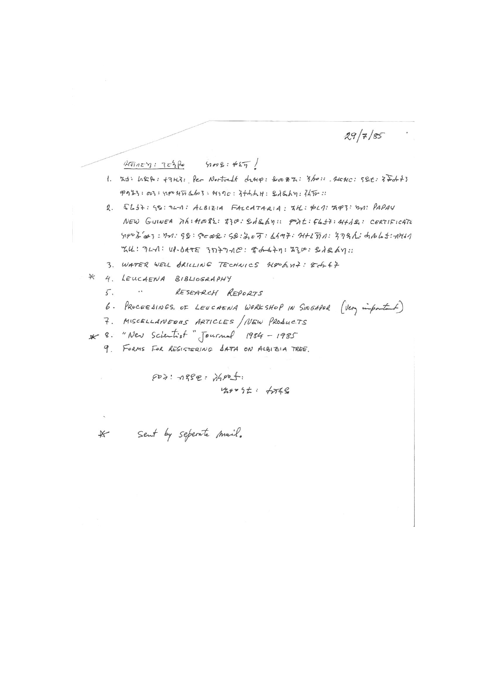$29/7/85$ 

 $A\bar{n}n\epsilon\eta: 7\epsilon\hat{h}$   $9\epsilon: 42\bar{7}$ 

- 1. Kt: LASP: +7H3: Per Nortvedt drup: Sook Z: 3/2: ALCHC: 5Set: 37dr+3 POL3: 003: nexxxabo3: 419c: 3thht H: BitShy: 3450:
- 2. SLS7: 58: 74-1: ALBIZIA FALCATARIA: XH: \$47: 747: 72: PAPAY NEW GUINEA MAIHORL: 230: SASAY: PALIFLI+: 44AS: CERTIFICATE  $Y_180727: Y1.98: Sc02: S2.557: L197: H12571: 578L: d1665:181$  $KU: 7L1: U1-01T \in 3D+7-1C: 4-4+1: 720: 21261:$
- 3. WATER WELL BRILLING TECHNICS HOOGUT: 8-6247
- \* 4. LEUCAENA BIBLIOGRAPHY
	- $5.$   $\cdots$ RESEARCH REPORTS
	- 6. PROCEEDINGS OF LEUCAENA WORKSHOP IN SINGAPOR (Very important)
	- 7. MISCELLANEDUS ARTICLES / NEW PRODUCTS
- \* 8. "New Scientist" Journal 1984 1985
	- 9. FORMS FOR REGISTERING SATA ON ALBIZIA TREE.

 $607:1882:1990f$  $429095: 6768$ 

If Sent by seperate mail.